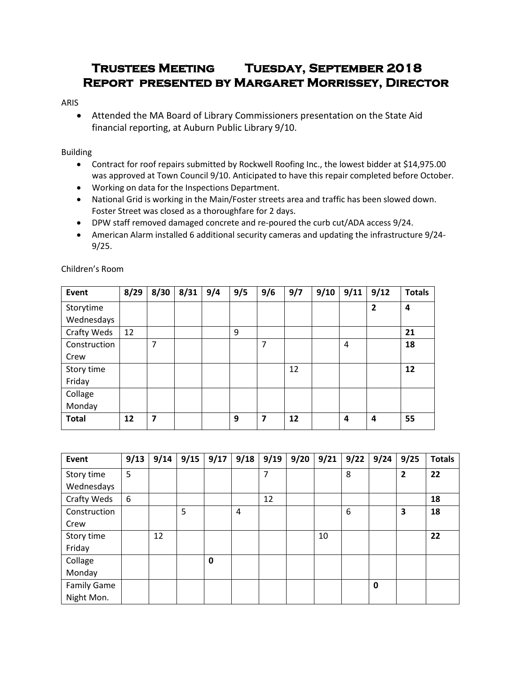# **Trustees Meeting Tuesday, September 2018 Report presented by Margaret Morrissey, Director**

## ARIS

 Attended the MA Board of Library Commissioners presentation on the State Aid financial reporting, at Auburn Public Library 9/10.

# Building

- Contract for roof repairs submitted by Rockwell Roofing Inc., the lowest bidder at \$14,975.00 was approved at Town Council 9/10. Anticipated to have this repair completed before October.
- Working on data for the Inspections Department.
- National Grid is working in the Main/Foster streets area and traffic has been slowed down. Foster Street was closed as a thoroughfare for 2 days.
- DPW staff removed damaged concrete and re-poured the curb cut/ADA access 9/24.
- American Alarm installed 6 additional security cameras and updating the infrastructure 9/24- 9/25.

| Event        | 8/29 | 8/30           | 8/31 | 9/4 | 9/5 | 9/6            | 9/7 | 9/10 | 9/11           | 9/12         | <b>Totals</b> |
|--------------|------|----------------|------|-----|-----|----------------|-----|------|----------------|--------------|---------------|
| Storytime    |      |                |      |     |     |                |     |      |                | $\mathbf{2}$ | 4             |
| Wednesdays   |      |                |      |     |     |                |     |      |                |              |               |
| Crafty Weds  | 12   |                |      |     | 9   |                |     |      |                |              | 21            |
| Construction |      | 7              |      |     |     | $\overline{7}$ |     |      | $\overline{4}$ |              | 18            |
| Crew         |      |                |      |     |     |                |     |      |                |              |               |
| Story time   |      |                |      |     |     |                | 12  |      |                |              | 12            |
| Friday       |      |                |      |     |     |                |     |      |                |              |               |
| Collage      |      |                |      |     |     |                |     |      |                |              |               |
| Monday       |      |                |      |     |     |                |     |      |                |              |               |
| <b>Total</b> | 12   | $\overline{z}$ |      |     | 9   | 7              | 12  |      | 4              | 4            | 55            |

Children's Room

| Event              | 9/13 | 9/14 | 9/15 | 9/17 | 9/18 | 9/19 | 9/20 | 9/21 | 9/22 | 9/24        | 9/25                    | <b>Totals</b> |
|--------------------|------|------|------|------|------|------|------|------|------|-------------|-------------------------|---------------|
| Story time         | 5    |      |      |      |      | 7    |      |      | 8    |             | $\overline{\mathbf{2}}$ | 22            |
| Wednesdays         |      |      |      |      |      |      |      |      |      |             |                         |               |
| Crafty Weds        | 6    |      |      |      |      | 12   |      |      |      |             |                         | 18            |
| Construction       |      |      | 5    |      | 4    |      |      |      | 6    |             | 3                       | 18            |
| Crew               |      |      |      |      |      |      |      |      |      |             |                         |               |
| Story time         |      | 12   |      |      |      |      |      | 10   |      |             |                         | 22            |
| Friday             |      |      |      |      |      |      |      |      |      |             |                         |               |
| Collage            |      |      |      | 0    |      |      |      |      |      |             |                         |               |
| Monday             |      |      |      |      |      |      |      |      |      |             |                         |               |
| <b>Family Game</b> |      |      |      |      |      |      |      |      |      | $\mathbf 0$ |                         |               |
| Night Mon.         |      |      |      |      |      |      |      |      |      |             |                         |               |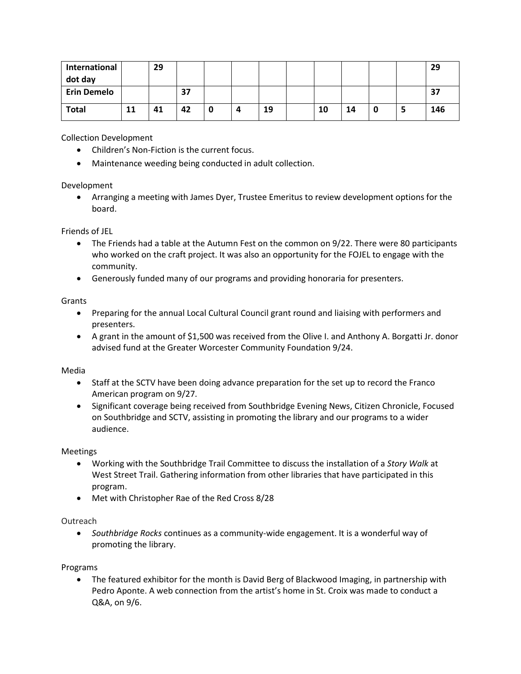| International<br>dot day |    | 29 |    |   |    |    |    |   | 29  |
|--------------------------|----|----|----|---|----|----|----|---|-----|
| <b>Erin Demelo</b>       |    |    | 37 |   |    |    |    |   | 37  |
| <b>Total</b>             | 11 | 41 | 42 | 0 | 19 | 10 | 14 | э | 146 |

Collection Development

- Children's Non-Fiction is the current focus.
- Maintenance weeding being conducted in adult collection.

## Development

 Arranging a meeting with James Dyer, Trustee Emeritus to review development options for the board.

#### Friends of JEL

- The Friends had a table at the Autumn Fest on the common on 9/22. There were 80 participants who worked on the craft project. It was also an opportunity for the FOJEL to engage with the community.
- Generously funded many of our programs and providing honoraria for presenters.

#### Grants

- Preparing for the annual Local Cultural Council grant round and liaising with performers and presenters.
- A grant in the amount of \$1,500 was received from the Olive I. and Anthony A. Borgatti Jr. donor advised fund at the Greater Worcester Community Foundation 9/24.

#### Media

- Staff at the SCTV have been doing advance preparation for the set up to record the Franco American program on 9/27.
- Significant coverage being received from Southbridge Evening News, Citizen Chronicle, Focused on Southbridge and SCTV, assisting in promoting the library and our programs to a wider audience.

#### Meetings

- Working with the Southbridge Trail Committee to discuss the installation of a *Story Walk* at West Street Trail. Gathering information from other libraries that have participated in this program.
- Met with Christopher Rae of the Red Cross 8/28

## **Outreach**

 *Southbridge Rocks* continues as a community-wide engagement. It is a wonderful way of promoting the library.

## Programs

 The featured exhibitor for the month is David Berg of Blackwood Imaging, in partnership with Pedro Aponte. A web connection from the artist's home in St. Croix was made to conduct a Q&A, on 9/6.